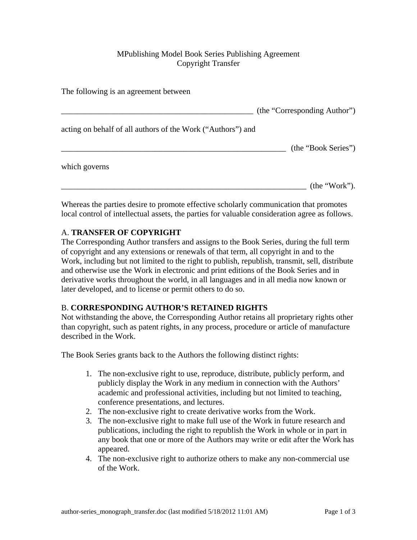## MPublishing Model Book Series Publishing Agreement Copyright Transfer

| The following is an agreement between                       |                              |
|-------------------------------------------------------------|------------------------------|
|                                                             | (the "Corresponding Author") |
| acting on behalf of all authors of the Work ("Authors") and |                              |
|                                                             | (the "Book Series")          |
| which governs                                               |                              |
|                                                             | (the "Work").                |

Whereas the parties desire to promote effective scholarly communication that promotes local control of intellectual assets, the parties for valuable consideration agree as follows.

# A. **TRANSFER OF COPYRIGHT**

The Corresponding Author transfers and assigns to the Book Series, during the full term of copyright and any extensions or renewals of that term, all copyright in and to the Work, including but not limited to the right to publish, republish, transmit, sell, distribute and otherwise use the Work in electronic and print editions of the Book Series and in derivative works throughout the world, in all languages and in all media now known or later developed, and to license or permit others to do so.

## B. **CORRESPONDING AUTHOR'S RETAINED RIGHTS**

Not withstanding the above, the Corresponding Author retains all proprietary rights other than copyright, such as patent rights, in any process, procedure or article of manufacture described in the Work.

The Book Series grants back to the Authors the following distinct rights:

- 1. The non-exclusive right to use, reproduce, distribute, publicly perform, and publicly display the Work in any medium in connection with the Authors' academic and professional activities, including but not limited to teaching, conference presentations, and lectures.
- 2. The non-exclusive right to create derivative works from the Work.
- 3. The non-exclusive right to make full use of the Work in future research and publications, including the right to republish the Work in whole or in part in any book that one or more of the Authors may write or edit after the Work has appeared.
- 4. The non-exclusive right to authorize others to make any non-commercial use of the Work.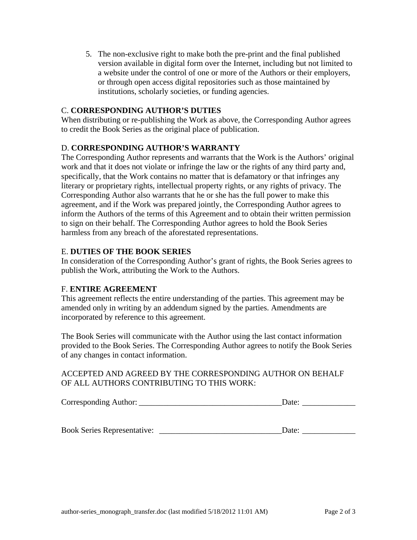5. The non-exclusive right to make both the pre-print and the final published version available in digital form over the Internet, including but not limited to a website under the control of one or more of the Authors or their employers, or through open access digital repositories such as those maintained by institutions, scholarly societies, or funding agencies.

#### C. **CORRESPONDING AUTHOR'S DUTIES**

When distributing or re-publishing the Work as above, the Corresponding Author agrees to credit the Book Series as the original place of publication.

#### D. **CORRESPONDING AUTHOR'S WARRANTY**

The Corresponding Author represents and warrants that the Work is the Authors' original work and that it does not violate or infringe the law or the rights of any third party and, specifically, that the Work contains no matter that is defamatory or that infringes any literary or proprietary rights, intellectual property rights, or any rights of privacy. The Corresponding Author also warrants that he or she has the full power to make this agreement, and if the Work was prepared jointly, the Corresponding Author agrees to inform the Authors of the terms of this Agreement and to obtain their written permission to sign on their behalf. The Corresponding Author agrees to hold the Book Series harmless from any breach of the aforestated representations.

#### E. **DUTIES OF THE BOOK SERIES**

In consideration of the Corresponding Author's grant of rights, the Book Series agrees to publish the Work, attributing the Work to the Authors.

#### F. **ENTIRE AGREEMENT**

This agreement reflects the entire understanding of the parties. This agreement may be amended only in writing by an addendum signed by the parties. Amendments are incorporated by reference to this agreement.

The Book Series will communicate with the Author using the last contact information provided to the Book Series. The Corresponding Author agrees to notify the Book Series of any changes in contact information.

#### ACCEPTED AND AGREED BY THE CORRESPONDING AUTHOR ON BEHALF OF ALL AUTHORS CONTRIBUTING TO THIS WORK:

| $\sim$<br>Corresponding Author: |  |
|---------------------------------|--|
|---------------------------------|--|

Book Series Representative: \_\_\_\_\_\_\_\_\_\_\_\_\_\_\_\_\_\_\_\_\_\_\_\_\_\_\_\_\_\_Date: \_\_\_\_\_\_\_\_\_\_\_\_\_